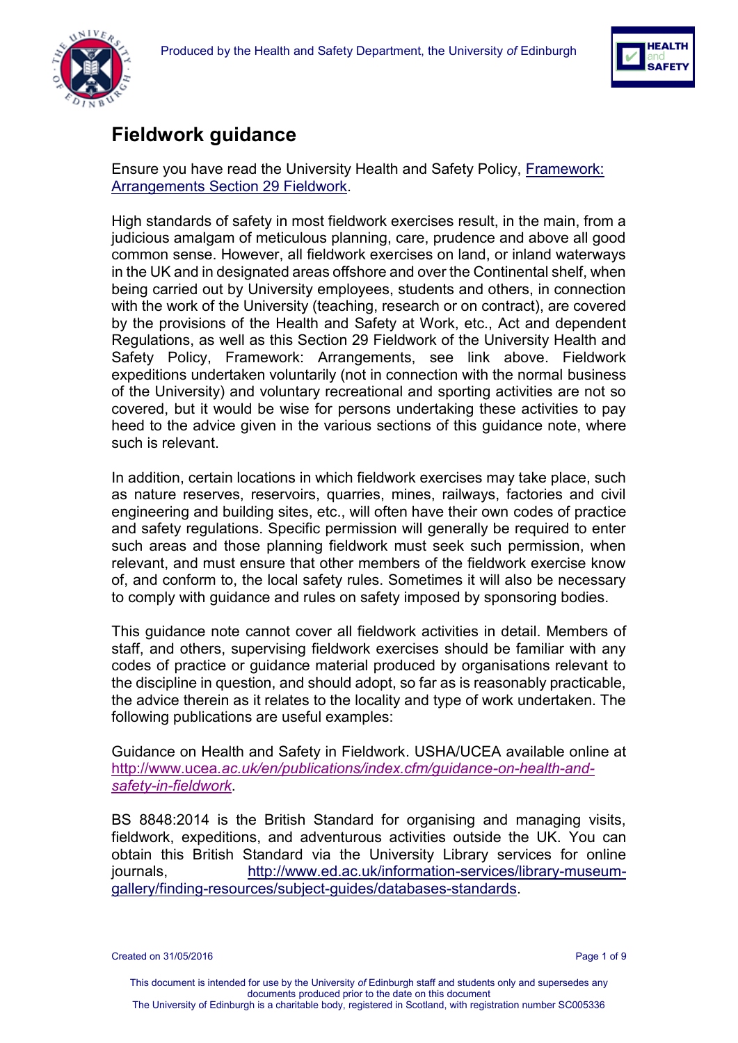



# **Fieldwork guidance**

Ensure you have read the University Health and Safety Policy, [Framework:](http://www.docs.csg.ed.ac.uk/Safety/Policy/Framework_-_Arrangements.pdf)  Arrangements [Section 29 Fieldwork.](http://www.docs.csg.ed.ac.uk/Safety/Policy/Framework_-_Arrangements.pdf)

High standards of safety in most fieldwork exercises result, in the main, from a judicious amalgam of meticulous planning, care, prudence and above all good common sense. However, all fieldwork exercises on land, or inland waterways in the UK and in designated areas offshore and over the Continental shelf, when being carried out by University employees, students and others, in connection with the work of the University (teaching, research or on contract), are covered by the provisions of the Health and Safety at Work, etc., Act and dependent Regulations, as well as this Section 29 Fieldwork of the University Health and Safety Policy, Framework: Arrangements, see link above. Fieldwork expeditions undertaken voluntarily (not in connection with the normal business of the University) and voluntary recreational and sporting activities are not so covered, but it would be wise for persons undertaking these activities to pay heed to the advice given in the various sections of this guidance note, where such is relevant.

In addition, certain locations in which fieldwork exercises may take place, such as nature reserves, reservoirs, quarries, mines, railways, factories and civil engineering and building sites, etc., will often have their own codes of practice and safety regulations. Specific permission will generally be required to enter such areas and those planning fieldwork must seek such permission, when relevant, and must ensure that other members of the fieldwork exercise know of, and conform to, the local safety rules. Sometimes it will also be necessary to comply with guidance and rules on safety imposed by sponsoring bodies.

This guidance note cannot cover all fieldwork activities in detail. Members of staff, and others, supervising fieldwork exercises should be familiar with any codes of practice or guidance material produced by organisations relevant to the discipline in question, and should adopt, so far as is reasonably practicable, the advice therein as it relates to the locality and type of work undertaken. The following publications are useful examples:

Guidance on Health and Safety in Fieldwork. USHA/UCEA available online at http://www.ucea*[.ac.uk/en/publications/index.cfm/guidance-on-health-and](http://www.ucea.ac.uk/en/publications/index.cfm/guidance-on-health-and-safety-in-fieldwork)[safety-in-fieldwork](http://www.ucea.ac.uk/en/publications/index.cfm/guidance-on-health-and-safety-in-fieldwork)*.

BS 8848:2014 is the British Standard for organising and managing visits, fieldwork, expeditions, and adventurous activities outside the UK. You can obtain this British Standard via the University Library services for online journals, [http://www.ed.ac.uk/information-services/library-museum](http://www.ed.ac.uk/information-services/library-museum-gallery/finding-resources/subject-guides/databases-standards)[gallery/finding-resources/subject-guides/databases-standards.](http://www.ed.ac.uk/information-services/library-museum-gallery/finding-resources/subject-guides/databases-standards)

Created on 31/05/2016 **Page 1 of 9** Page 1 of 9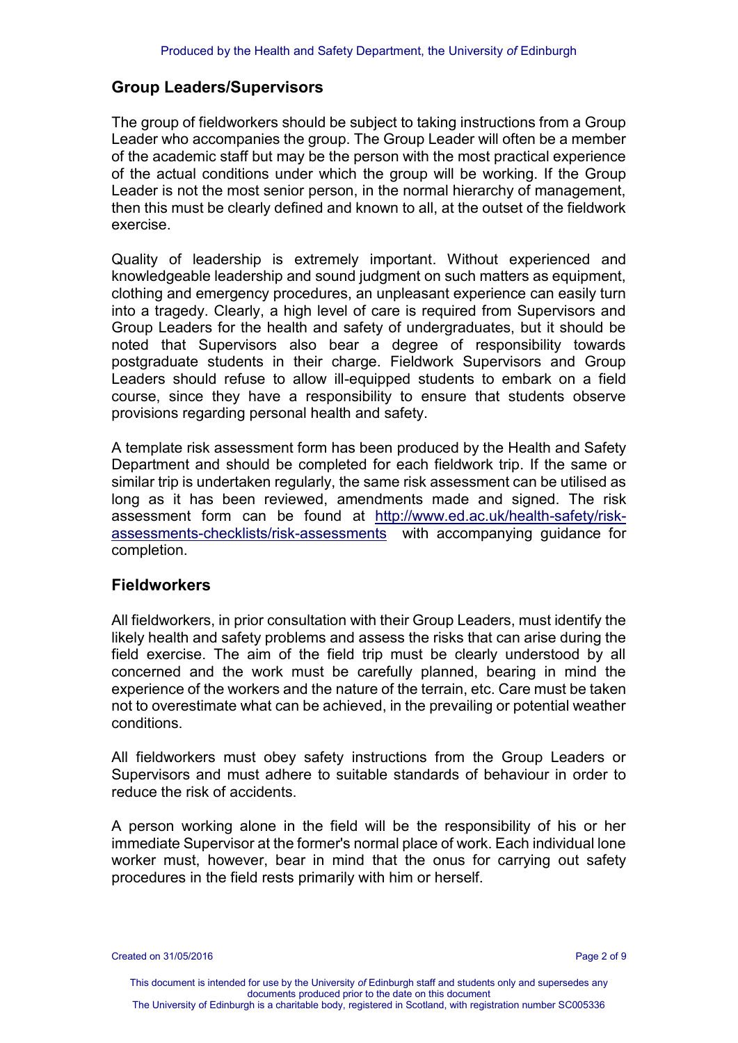### **Group Leaders/Supervisors**

The group of fieldworkers should be subject to taking instructions from a Group Leader who accompanies the group. The Group Leader will often be a member of the academic staff but may be the person with the most practical experience of the actual conditions under which the group will be working. If the Group Leader is not the most senior person, in the normal hierarchy of management, then this must be clearly defined and known to all, at the outset of the fieldwork exercise.

Quality of leadership is extremely important. Without experienced and knowledgeable leadership and sound judgment on such matters as equipment, clothing and emergency procedures, an unpleasant experience can easily turn into a tragedy. Clearly, a high level of care is required from Supervisors and Group Leaders for the health and safety of undergraduates, but it should be noted that Supervisors also bear a degree of responsibility towards postgraduate students in their charge. Fieldwork Supervisors and Group Leaders should refuse to allow ill-equipped students to embark on a field course, since they have a responsibility to ensure that students observe provisions regarding personal health and safety.

A template risk assessment form has been produced by the Health and Safety Department and should be completed for each fieldwork trip. If the same or similar trip is undertaken regularly, the same risk assessment can be utilised as long as it has been reviewed, amendments made and signed. The risk assessment form can be found at [http://www.ed.ac.uk/health-safety/risk](http://www.ed.ac.uk/health-safety/risk-assessments-checklists/risk-assessments)[assessments-checklists/risk-assessments](http://www.ed.ac.uk/health-safety/risk-assessments-checklists/risk-assessments) with accompanying guidance for completion.

#### **Fieldworkers**

All fieldworkers, in prior consultation with their Group Leaders, must identify the likely health and safety problems and assess the risks that can arise during the field exercise. The aim of the field trip must be clearly understood by all concerned and the work must be carefully planned, bearing in mind the experience of the workers and the nature of the terrain, etc. Care must be taken not to overestimate what can be achieved, in the prevailing or potential weather conditions.

All fieldworkers must obey safety instructions from the Group Leaders or Supervisors and must adhere to suitable standards of behaviour in order to reduce the risk of accidents.

A person working alone in the field will be the responsibility of his or her immediate Supervisor at the former's normal place of work. Each individual lone worker must, however, bear in mind that the onus for carrying out safety procedures in the field rests primarily with him or herself.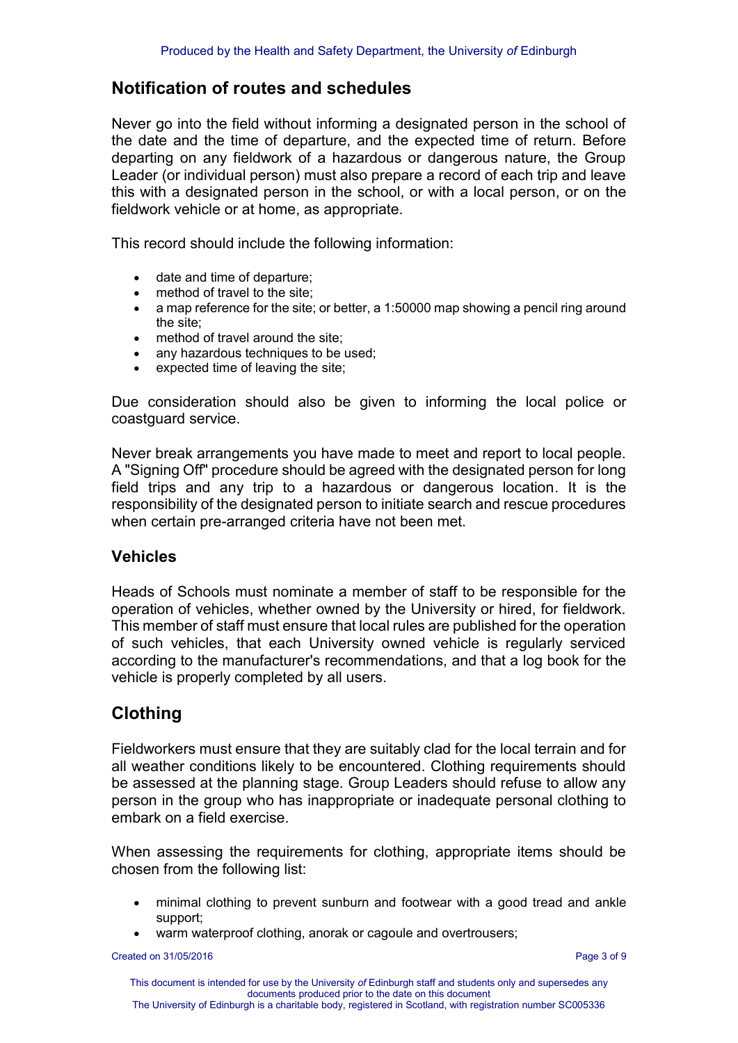# **Notification of routes and schedules**

Never go into the field without informing a designated person in the school of the date and the time of departure, and the expected time of return. Before departing on any fieldwork of a hazardous or dangerous nature, the Group Leader (or individual person) must also prepare a record of each trip and leave this with a designated person in the school, or with a local person, or on the fieldwork vehicle or at home, as appropriate.

This record should include the following information:

- date and time of departure:
- method of travel to the site;
- a map reference for the site; or better, a 1:50000 map showing a pencil ring around the site;
- 
- method of travel around the site;<br>• any hazardous techniques to be any hazardous techniques to be used;
- expected time of leaving the site;

Due consideration should also be given to informing the local police or coastguard service.

Never break arrangements you have made to meet and report to local people. A "Signing Off" procedure should be agreed with the designated person for long field trips and any trip to a hazardous or dangerous location. It is the responsibility of the designated person to initiate search and rescue procedures when certain pre-arranged criteria have not been met.

### **Vehicles**

Heads of Schools must nominate a member of staff to be responsible for the operation of vehicles, whether owned by the University or hired, for fieldwork. This member of staff must ensure that local rules are published for the operation of such vehicles, that each University owned vehicle is regularly serviced according to the manufacturer's recommendations, and that a log book for the vehicle is properly completed by all users.

# **Clothing**

Fieldworkers must ensure that they are suitably clad for the local terrain and for all weather conditions likely to be encountered. Clothing requirements should be assessed at the planning stage. Group Leaders should refuse to allow any person in the group who has inappropriate or inadequate personal clothing to embark on a field exercise.

When assessing the requirements for clothing, appropriate items should be chosen from the following list:

- minimal clothing to prevent sunburn and footwear with a good tread and ankle support;
- warm waterproof clothing, anorak or cagoule and overtrousers;

Created on 31/05/2016 **Page 3 of 9** Page 3 of 9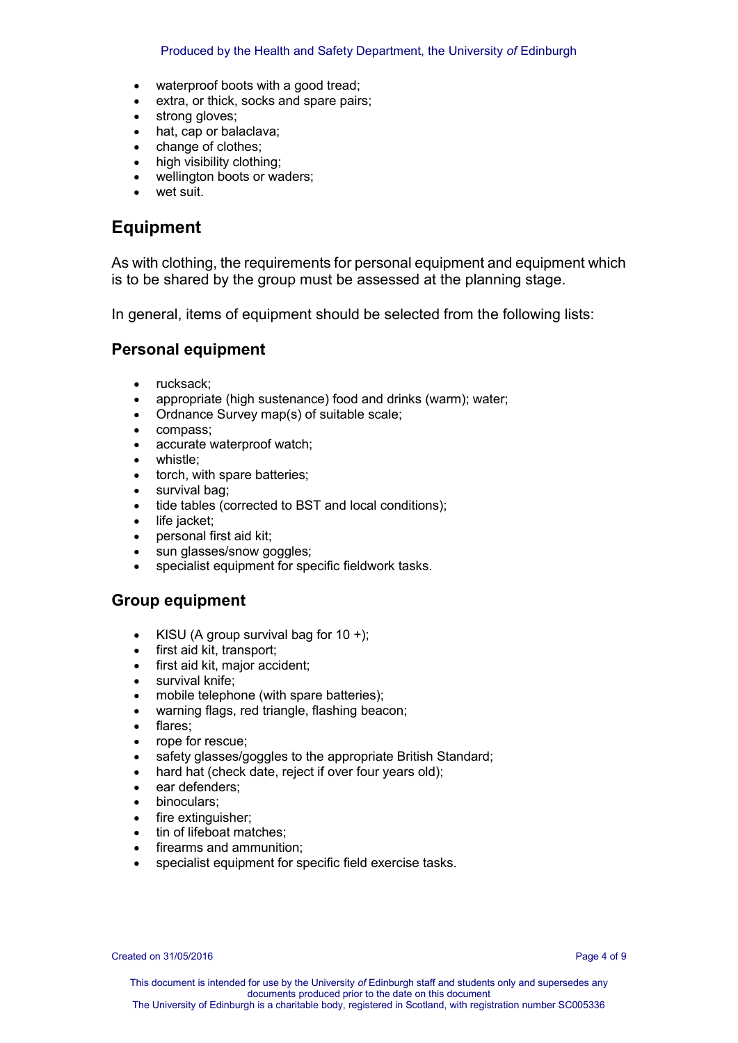- waterproof boots with a good tread;
- extra, or thick, socks and spare pairs;
- strong gloves;
- hat, cap or balaclava;
- change of clothes;
- high visibility clothing;
- wellington boots or waders;
- wet suit.

# **Equipment**

As with clothing, the requirements for personal equipment and equipment which is to be shared by the group must be assessed at the planning stage.

In general, items of equipment should be selected from the following lists:

### **Personal equipment**

- rucksack;
- appropriate (high sustenance) food and drinks (warm); water;
- Ordnance Survey map(s) of suitable scale;
- compass:
- accurate waterproof watch;
- whistle;
- torch, with spare batteries;
- survival bag;
- tide tables (corrected to BST and local conditions);
- life jacket;
- personal first aid kit;
- sun glasses/snow goggles;
- specialist equipment for specific fieldwork tasks.

### **Group equipment**

- KISU (A group survival bag for  $10 +$ );
- first aid kit, transport;
- first aid kit, major accident;
- survival knife;
- mobile telephone (with spare batteries);
- warning flags, red triangle, flashing beacon;
- flares;
- rope for rescue;
- safety glasses/goggles to the appropriate British Standard;
- hard hat (check date, reject if over four years old);
- ear defenders;
- binoculars;
- fire extinguisher;
- tin of lifeboat matches;
- firearms and ammunition;
- specialist equipment for specific field exercise tasks.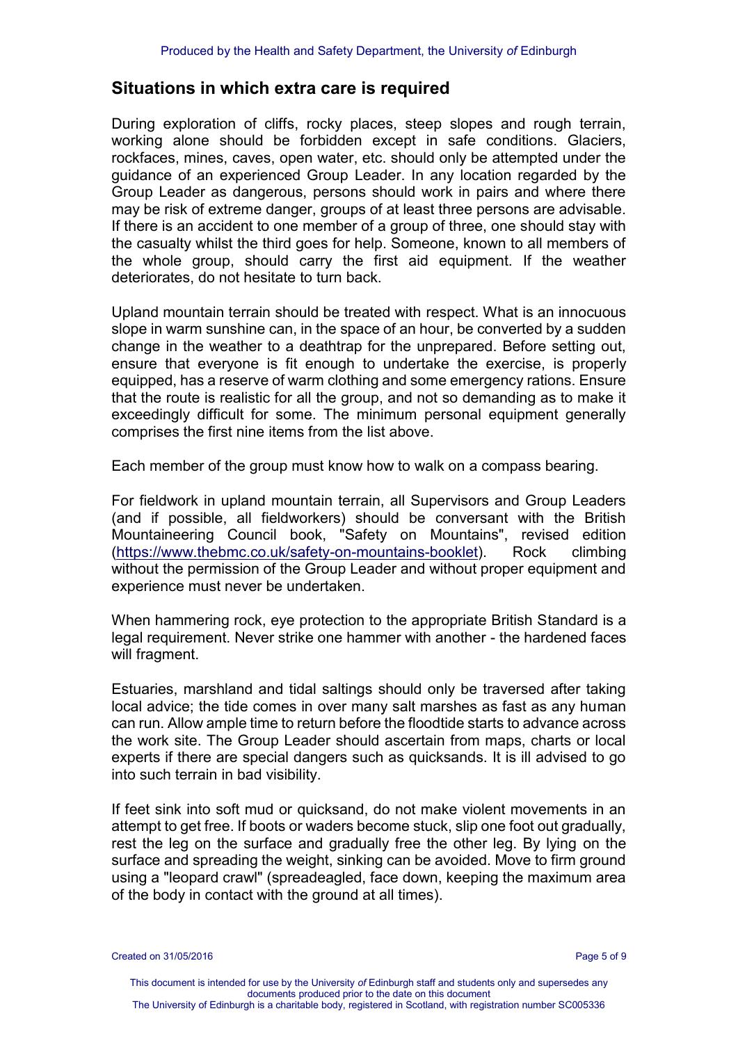### **Situations in which extra care is required**

During exploration of cliffs, rocky places, steep slopes and rough terrain, working alone should be forbidden except in safe conditions. Glaciers, rockfaces, mines, caves, open water, etc. should only be attempted under the guidance of an experienced Group Leader. In any location regarded by the Group Leader as dangerous, persons should work in pairs and where there may be risk of extreme danger, groups of at least three persons are advisable. If there is an accident to one member of a group of three, one should stay with the casualty whilst the third goes for help. Someone, known to all members of the whole group, should carry the first aid equipment. If the weather deteriorates, do not hesitate to turn back.

Upland mountain terrain should be treated with respect. What is an innocuous slope in warm sunshine can, in the space of an hour, be converted by a sudden change in the weather to a deathtrap for the unprepared. Before setting out, ensure that everyone is fit enough to undertake the exercise, is properly equipped, has a reserve of warm clothing and some emergency rations. Ensure that the route is realistic for all the group, and not so demanding as to make it exceedingly difficult for some. The minimum personal equipment generally comprises the first nine items from the list above.

Each member of the group must know how to walk on a compass bearing.

For fieldwork in upland mountain terrain, all Supervisors and Group Leaders (and if possible, all fieldworkers) should be conversant with the British Mountaineering Council book, "Safety on Mountains", revised edition [\(https://www.thebmc.co.uk/safety-on-mountains-booklet\)](https://www.thebmc.co.uk/safety-on-mountains-booklet). Rock climbing without the permission of the Group Leader and without proper equipment and experience must never be undertaken.

When hammering rock, eye protection to the appropriate British Standard is a legal requirement. Never strike one hammer with another - the hardened faces will fragment.

Estuaries, marshland and tidal saltings should only be traversed after taking local advice; the tide comes in over many salt marshes as fast as any human can run. Allow ample time to return before the floodtide starts to advance across the work site. The Group Leader should ascertain from maps, charts or local experts if there are special dangers such as quicksands. It is ill advised to go into such terrain in bad visibility.

If feet sink into soft mud or quicksand, do not make violent movements in an attempt to get free. If boots or waders become stuck, slip one foot out gradually, rest the leg on the surface and gradually free the other leg. By lying on the surface and spreading the weight, sinking can be avoided. Move to firm ground using a "leopard crawl" (spreadeagled, face down, keeping the maximum area of the body in contact with the ground at all times).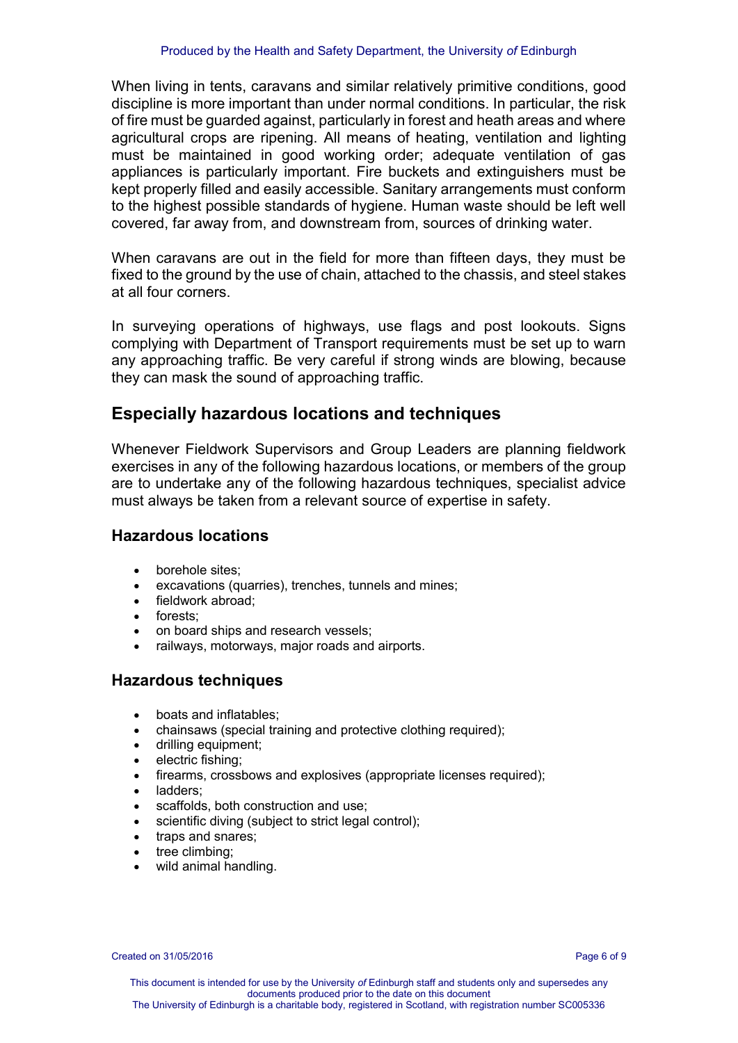When living in tents, caravans and similar relatively primitive conditions, good discipline is more important than under normal conditions. In particular, the risk of fire must be guarded against, particularly in forest and heath areas and where agricultural crops are ripening. All means of heating, ventilation and lighting must be maintained in good working order; adequate ventilation of gas appliances is particularly important. Fire buckets and extinguishers must be kept properly filled and easily accessible. Sanitary arrangements must conform to the highest possible standards of hygiene. Human waste should be left well covered, far away from, and downstream from, sources of drinking water.

When caravans are out in the field for more than fifteen days, they must be fixed to the ground by the use of chain, attached to the chassis, and steel stakes at all four corners.

In surveying operations of highways, use flags and post lookouts. Signs complying with Department of Transport requirements must be set up to warn any approaching traffic. Be very careful if strong winds are blowing, because they can mask the sound of approaching traffic.

## **Especially hazardous locations and techniques**

Whenever Fieldwork Supervisors and Group Leaders are planning fieldwork exercises in any of the following hazardous locations, or members of the group are to undertake any of the following hazardous techniques, specialist advice must always be taken from a relevant source of expertise in safety.

#### **Hazardous locations**

- borehole sites:
- excavations (quarries), trenches, tunnels and mines;
- fieldwork abroad:
- forests:
- on board ships and research vessels;
- railways, motorways, major roads and airports.

#### **Hazardous techniques**

- boats and inflatables;
- chainsaws (special training and protective clothing required);
- drilling equipment;
- electric fishing:
- firearms, crossbows and explosives (appropriate licenses required);
- ladders;
- scaffolds, both construction and use;
- scientific diving (subject to strict legal control);
- traps and snares:
- tree climbing;
- wild animal handling.

Created on 31/05/2016 **Page 6 of 9** Page 6 of 9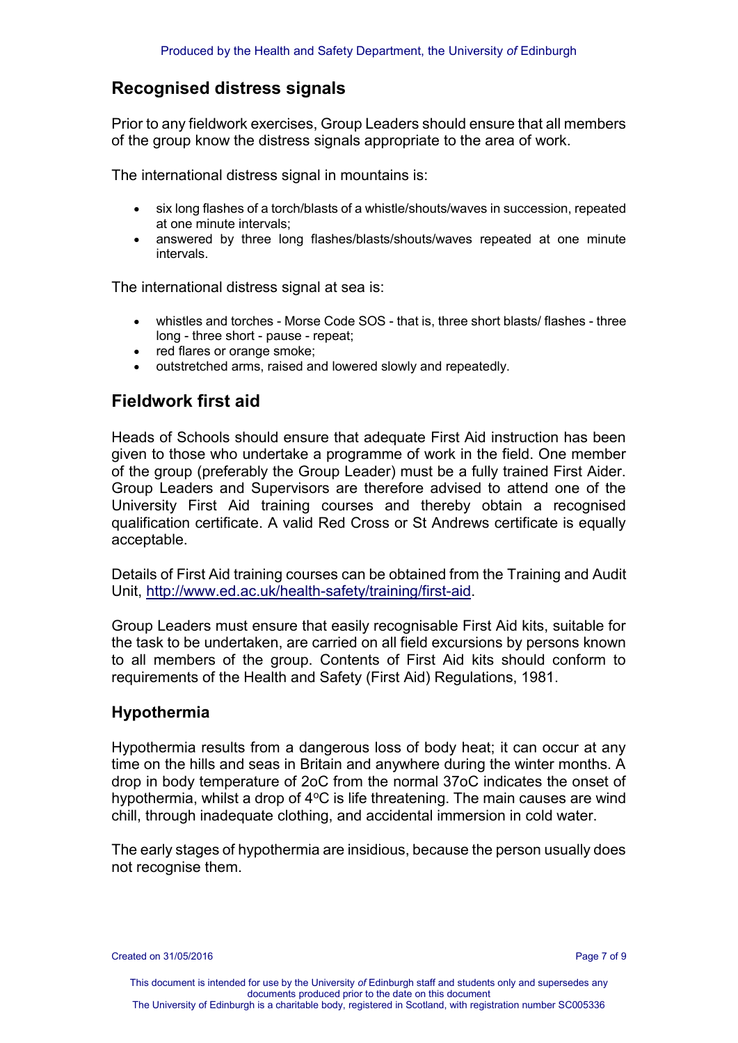# **Recognised distress signals**

Prior to any fieldwork exercises, Group Leaders should ensure that all members of the group know the distress signals appropriate to the area of work.

The international distress signal in mountains is:

- six long flashes of a torch/blasts of a whistle/shouts/waves in succession, repeated at one minute intervals;
- answered by three long flashes/blasts/shouts/waves repeated at one minute intervals.

The international distress signal at sea is:

- whistles and torches Morse Code SOS that is, three short blasts/ flashes three long - three short - pause - repeat;
- red flares or orange smoke;
- outstretched arms, raised and lowered slowly and repeatedly.

# **Fieldwork first aid**

Heads of Schools should ensure that adequate First Aid instruction has been given to those who undertake a programme of work in the field. One member of the group (preferably the Group Leader) must be a fully trained First Aider. Group Leaders and Supervisors are therefore advised to attend one of the University First Aid training courses and thereby obtain a recognised qualification certificate. A valid Red Cross or St Andrews certificate is equally acceptable.

Details of First Aid training courses can be obtained from the Training and Audit Unit, [http://www.ed.ac.uk/health-safety/training/first-aid.](http://www.ed.ac.uk/health-safety/training/first-aid)

Group Leaders must ensure that easily recognisable First Aid kits, suitable for the task to be undertaken, are carried on all field excursions by persons known to all members of the group. Contents of First Aid kits should conform to requirements of the Health and Safety (First Aid) Regulations, 1981.

### **Hypothermia**

Hypothermia results from a dangerous loss of body heat; it can occur at any time on the hills and seas in Britain and anywhere during the winter months. A drop in body temperature of 2oC from the normal 37oC indicates the onset of hypothermia, whilst a drop of  $4^{\circ}$ C is life threatening. The main causes are wind chill, through inadequate clothing, and accidental immersion in cold water.

The early stages of hypothermia are insidious, because the person usually does not recognise them.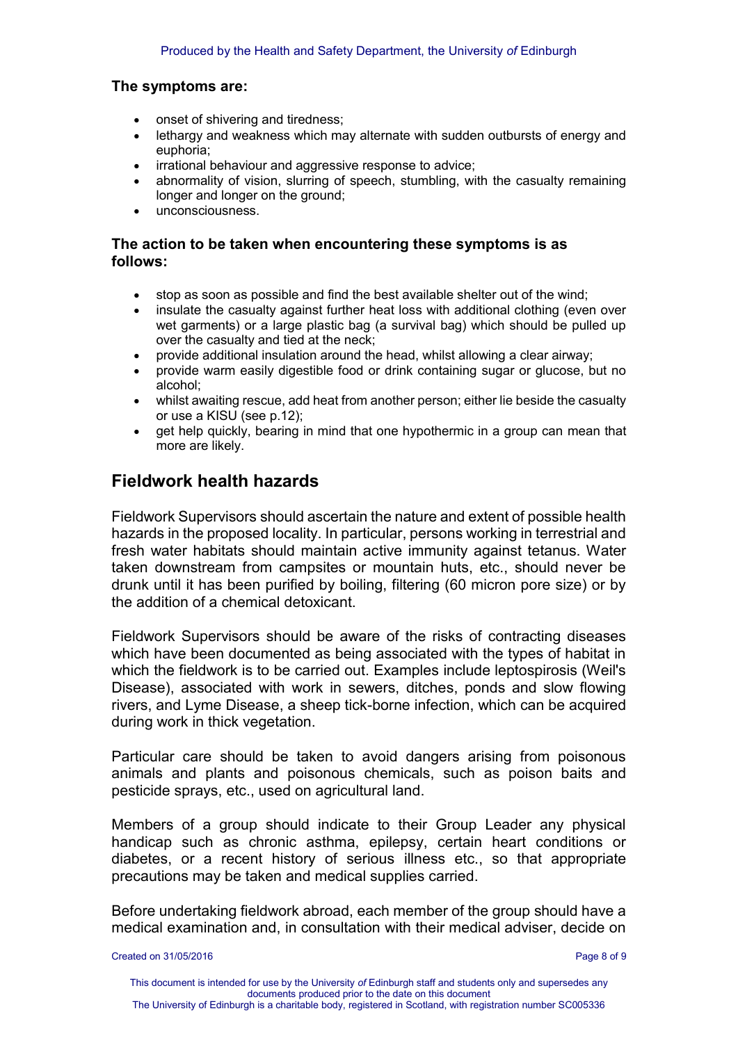#### **The symptoms are:**

- onset of shivering and tiredness;
- lethargy and weakness which may alternate with sudden outbursts of energy and euphoria;
- irrational behaviour and aggressive response to advice;
- abnormality of vision, slurring of speech, stumbling, with the casualty remaining longer and longer on the ground;
- unconsciousness.

#### **The action to be taken when encountering these symptoms is as follows:**

- stop as soon as possible and find the best available shelter out of the wind;
- insulate the casualty against further heat loss with additional clothing (even over wet garments) or a large plastic bag (a survival bag) which should be pulled up over the casualty and tied at the neck;
- provide additional insulation around the head, whilst allowing a clear airway;
- provide warm easily digestible food or drink containing sugar or glucose, but no alcohol;
- whilst awaiting rescue, add heat from another person; either lie beside the casualty or use a KISU (see p.12);
- get help quickly, bearing in mind that one hypothermic in a group can mean that more are likely.

## **Fieldwork health hazards**

Fieldwork Supervisors should ascertain the nature and extent of possible health hazards in the proposed locality. In particular, persons working in terrestrial and fresh water habitats should maintain active immunity against tetanus. Water taken downstream from campsites or mountain huts, etc., should never be drunk until it has been purified by boiling, filtering (60 micron pore size) or by the addition of a chemical detoxicant.

Fieldwork Supervisors should be aware of the risks of contracting diseases which have been documented as being associated with the types of habitat in which the fieldwork is to be carried out. Examples include leptospirosis (Weil's Disease), associated with work in sewers, ditches, ponds and slow flowing rivers, and Lyme Disease, a sheep tick-borne infection, which can be acquired during work in thick vegetation.

Particular care should be taken to avoid dangers arising from poisonous animals and plants and poisonous chemicals, such as poison baits and pesticide sprays, etc., used on agricultural land.

Members of a group should indicate to their Group Leader any physical handicap such as chronic asthma, epilepsy, certain heart conditions or diabetes, or a recent history of serious illness etc., so that appropriate precautions may be taken and medical supplies carried.

Before undertaking fieldwork abroad, each member of the group should have a medical examination and, in consultation with their medical adviser, decide on